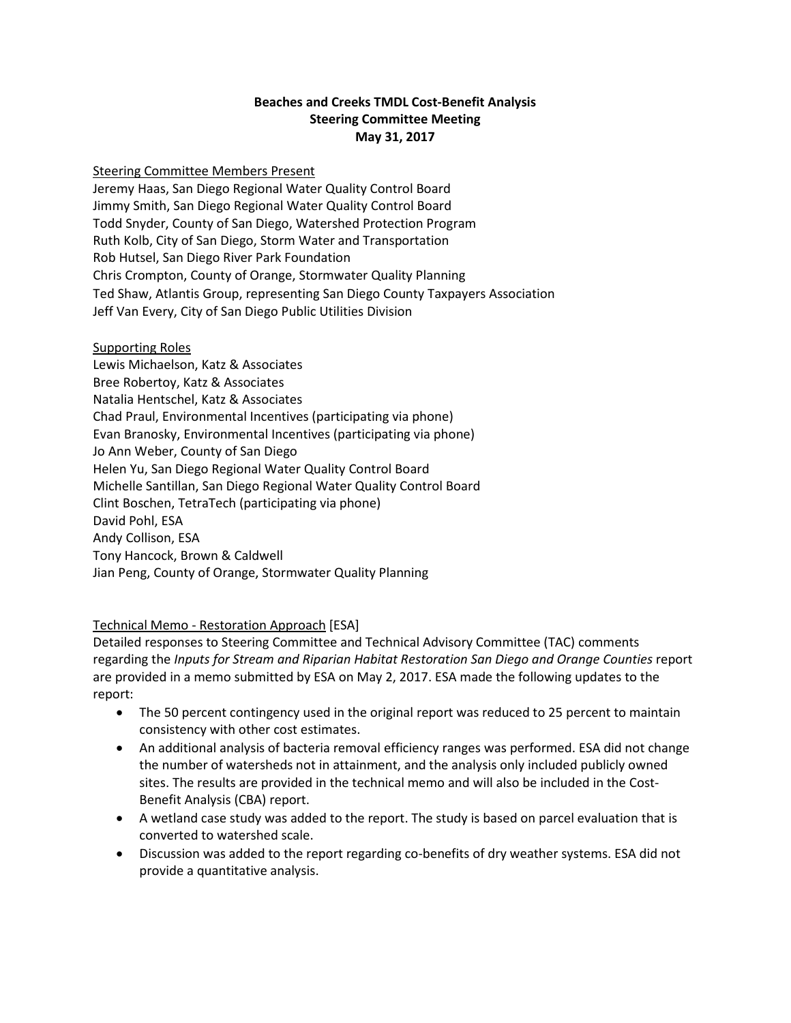## **Beaches and Creeks TMDL Cost-Benefit Analysis Steering Committee Meeting May 31, 2017**

#### Steering Committee Members Present

Jeremy Haas, San Diego Regional Water Quality Control Board Jimmy Smith, San Diego Regional Water Quality Control Board Todd Snyder, County of San Diego, Watershed Protection Program Ruth Kolb, City of San Diego, Storm Water and Transportation Rob Hutsel, San Diego River Park Foundation Chris Crompton, County of Orange, Stormwater Quality Planning Ted Shaw, Atlantis Group, representing San Diego County Taxpayers Association Jeff Van Every, City of San Diego Public Utilities Division

### Supporting Roles

Lewis Michaelson, Katz & Associates Bree Robertoy, Katz & Associates Natalia Hentschel, Katz & Associates Chad Praul, Environmental Incentives (participating via phone) Evan Branosky, Environmental Incentives (participating via phone) Jo Ann Weber, County of San Diego Helen Yu, San Diego Regional Water Quality Control Board Michelle Santillan, San Diego Regional Water Quality Control Board Clint Boschen, TetraTech (participating via phone) David Pohl, ESA Andy Collison, ESA Tony Hancock, Brown & Caldwell Jian Peng, County of Orange, Stormwater Quality Planning

# Technical Memo - Restoration Approach [ESA]

Detailed responses to Steering Committee and Technical Advisory Committee (TAC) comments regarding the *Inputs for Stream and Riparian Habitat Restoration San Diego and Orange Counties* report are provided in a memo submitted by ESA on May 2, 2017. ESA made the following updates to the report:

- The 50 percent contingency used in the original report was reduced to 25 percent to maintain consistency with other cost estimates.
- An additional analysis of bacteria removal efficiency ranges was performed. ESA did not change the number of watersheds not in attainment, and the analysis only included publicly owned sites. The results are provided in the technical memo and will also be included in the Cost-Benefit Analysis (CBA) report.
- A wetland case study was added to the report. The study is based on parcel evaluation that is converted to watershed scale.
- Discussion was added to the report regarding co-benefits of dry weather systems. ESA did not provide a quantitative analysis.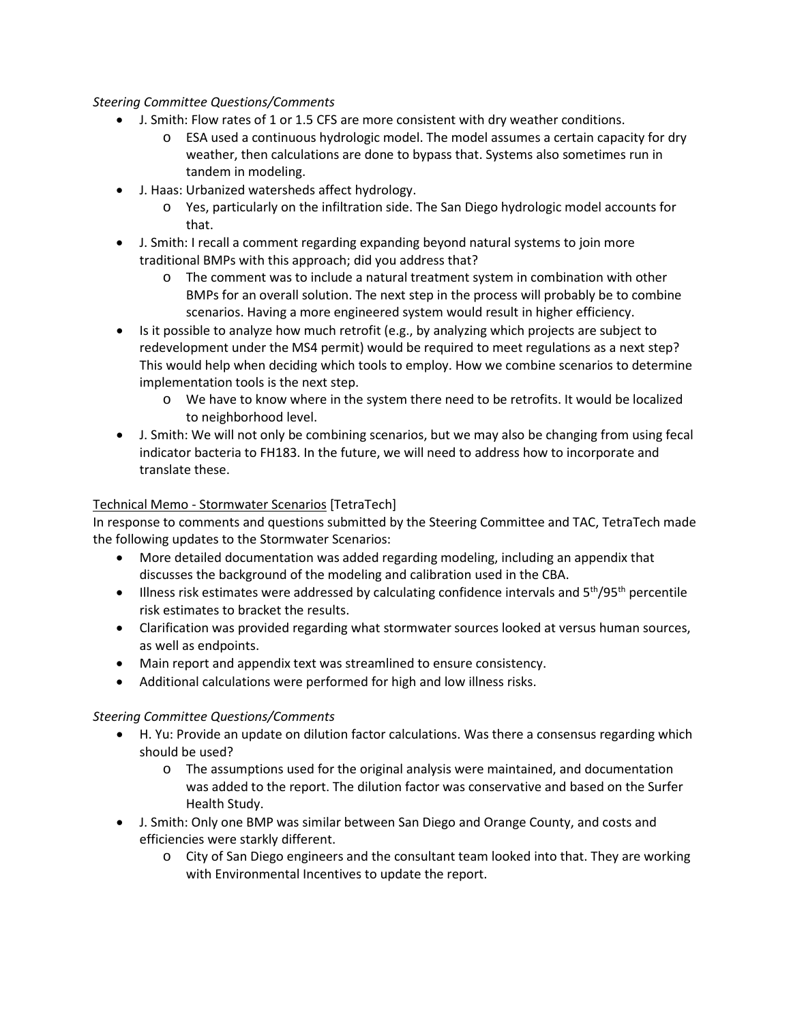#### *Steering Committee Questions/Comments*

- J. Smith: Flow rates of 1 or 1.5 CFS are more consistent with dry weather conditions.
	- o ESA used a continuous hydrologic model. The model assumes a certain capacity for dry weather, then calculations are done to bypass that. Systems also sometimes run in tandem in modeling.
- J. Haas: Urbanized watersheds affect hydrology.
	- o Yes, particularly on the infiltration side. The San Diego hydrologic model accounts for that.
- J. Smith: I recall a comment regarding expanding beyond natural systems to join more traditional BMPs with this approach; did you address that?
	- o The comment was to include a natural treatment system in combination with other BMPs for an overall solution. The next step in the process will probably be to combine scenarios. Having a more engineered system would result in higher efficiency.
- Is it possible to analyze how much retrofit (e.g., by analyzing which projects are subject to redevelopment under the MS4 permit) would be required to meet regulations as a next step? This would help when deciding which tools to employ. How we combine scenarios to determine implementation tools is the next step.
	- o We have to know where in the system there need to be retrofits. It would be localized to neighborhood level.
- J. Smith: We will not only be combining scenarios, but we may also be changing from using fecal indicator bacteria to FH183. In the future, we will need to address how to incorporate and translate these.

# Technical Memo - Stormwater Scenarios [TetraTech]

In response to comments and questions submitted by the Steering Committee and TAC, TetraTech made the following updates to the Stormwater Scenarios:

- More detailed documentation was added regarding modeling, including an appendix that discusses the background of the modeling and calibration used in the CBA.
- Illness risk estimates were addressed by calculating confidence intervals and  $5<sup>th</sup>/95<sup>th</sup>$  percentile risk estimates to bracket the results.
- Clarification was provided regarding what stormwater sources looked at versus human sources, as well as endpoints.
- Main report and appendix text was streamlined to ensure consistency.
- Additional calculations were performed for high and low illness risks.

# *Steering Committee Questions/Comments*

- H. Yu: Provide an update on dilution factor calculations. Was there a consensus regarding which should be used?
	- $\circ$  The assumptions used for the original analysis were maintained, and documentation was added to the report. The dilution factor was conservative and based on the Surfer Health Study.
- J. Smith: Only one BMP was similar between San Diego and Orange County, and costs and efficiencies were starkly different.
	- o City of San Diego engineers and the consultant team looked into that. They are working with Environmental Incentives to update the report.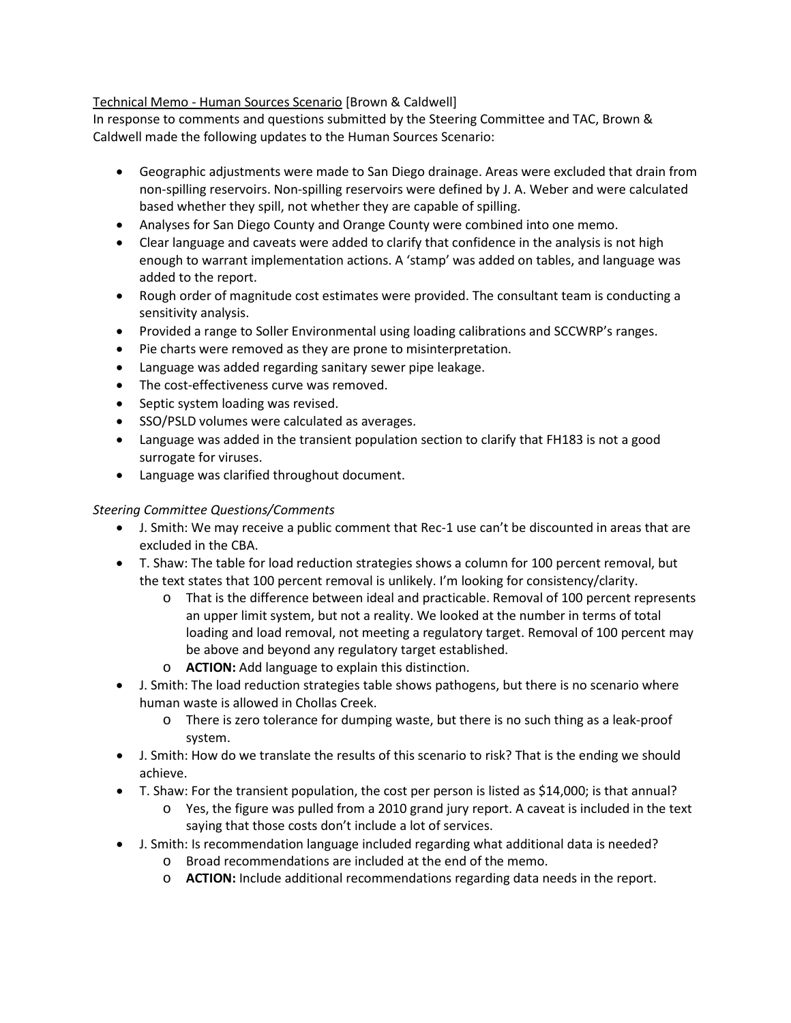## Technical Memo - Human Sources Scenario [Brown & Caldwell]

In response to comments and questions submitted by the Steering Committee and TAC, Brown & Caldwell made the following updates to the Human Sources Scenario:

- Geographic adjustments were made to San Diego drainage. Areas were excluded that drain from non-spilling reservoirs. Non-spilling reservoirs were defined by J. A. Weber and were calculated based whether they spill, not whether they are capable of spilling.
- Analyses for San Diego County and Orange County were combined into one memo.
- Clear language and caveats were added to clarify that confidence in the analysis is not high enough to warrant implementation actions. A 'stamp' was added on tables, and language was added to the report.
- Rough order of magnitude cost estimates were provided. The consultant team is conducting a sensitivity analysis.
- Provided a range to Soller Environmental using loading calibrations and SCCWRP's ranges.
- Pie charts were removed as they are prone to misinterpretation.
- Language was added regarding sanitary sewer pipe leakage.
- The cost-effectiveness curve was removed.
- Septic system loading was revised.
- SSO/PSLD volumes were calculated as averages.
- Language was added in the transient population section to clarify that FH183 is not a good surrogate for viruses.
- Language was clarified throughout document.

## *Steering Committee Questions/Comments*

- J. Smith: We may receive a public comment that Rec-1 use can't be discounted in areas that are excluded in the CBA.
- T. Shaw: The table for load reduction strategies shows a column for 100 percent removal, but the text states that 100 percent removal is unlikely. I'm looking for consistency/clarity.
	- o That is the difference between ideal and practicable. Removal of 100 percent represents an upper limit system, but not a reality. We looked at the number in terms of total loading and load removal, not meeting a regulatory target. Removal of 100 percent may be above and beyond any regulatory target established.
	- o **ACTION:** Add language to explain this distinction.
- J. Smith: The load reduction strategies table shows pathogens, but there is no scenario where human waste is allowed in Chollas Creek.
	- o There is zero tolerance for dumping waste, but there is no such thing as a leak-proof system.
- J. Smith: How do we translate the results of this scenario to risk? That is the ending we should achieve.
- T. Shaw: For the transient population, the cost per person is listed as \$14,000; is that annual?
	- o Yes, the figure was pulled from a 2010 grand jury report. A caveat is included in the text saying that those costs don't include a lot of services.
- J. Smith: Is recommendation language included regarding what additional data is needed?
	- o Broad recommendations are included at the end of the memo.
	- o **ACTION:** Include additional recommendations regarding data needs in the report.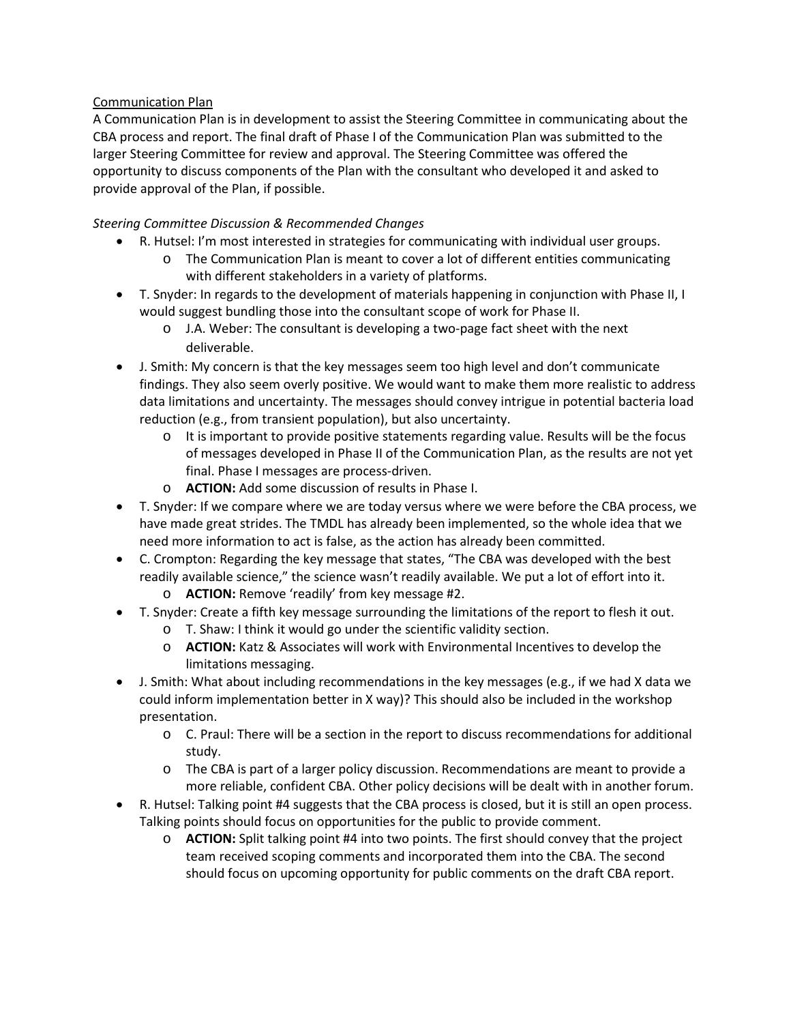## Communication Plan

A Communication Plan is in development to assist the Steering Committee in communicating about the CBA process and report. The final draft of Phase I of the Communication Plan was submitted to the larger Steering Committee for review and approval. The Steering Committee was offered the opportunity to discuss components of the Plan with the consultant who developed it and asked to provide approval of the Plan, if possible.

## *Steering Committee Discussion & Recommended Changes*

- R. Hutsel: I'm most interested in strategies for communicating with individual user groups.
	- o The Communication Plan is meant to cover a lot of different entities communicating with different stakeholders in a variety of platforms.
- T. Snyder: In regards to the development of materials happening in conjunction with Phase II, I would suggest bundling those into the consultant scope of work for Phase II.
	- o J.A. Weber: The consultant is developing a two-page fact sheet with the next deliverable.
- J. Smith: My concern is that the key messages seem too high level and don't communicate findings. They also seem overly positive. We would want to make them more realistic to address data limitations and uncertainty. The messages should convey intrigue in potential bacteria load reduction (e.g., from transient population), but also uncertainty.
	- $\circ$  It is important to provide positive statements regarding value. Results will be the focus of messages developed in Phase II of the Communication Plan, as the results are not yet final. Phase I messages are process-driven.
	- o **ACTION:** Add some discussion of results in Phase I.
- T. Snyder: If we compare where we are today versus where we were before the CBA process, we have made great strides. The TMDL has already been implemented, so the whole idea that we need more information to act is false, as the action has already been committed.
- C. Crompton: Regarding the key message that states, "The CBA was developed with the best readily available science," the science wasn't readily available. We put a lot of effort into it. o **ACTION:** Remove 'readily' from key message #2.
- T. Snyder: Create a fifth key message surrounding the limitations of the report to flesh it out.
	- o T. Shaw: I think it would go under the scientific validity section.
		- o **ACTION:** Katz & Associates will work with Environmental Incentives to develop the limitations messaging.
- J. Smith: What about including recommendations in the key messages (e.g., if we had X data we could inform implementation better in X way)? This should also be included in the workshop presentation.
	- o C. Praul: There will be a section in the report to discuss recommendations for additional study.
	- o The CBA is part of a larger policy discussion. Recommendations are meant to provide a more reliable, confident CBA. Other policy decisions will be dealt with in another forum.
- R. Hutsel: Talking point #4 suggests that the CBA process is closed, but it is still an open process. Talking points should focus on opportunities for the public to provide comment.
	- o **ACTION:** Split talking point #4 into two points. The first should convey that the project team received scoping comments and incorporated them into the CBA. The second should focus on upcoming opportunity for public comments on the draft CBA report.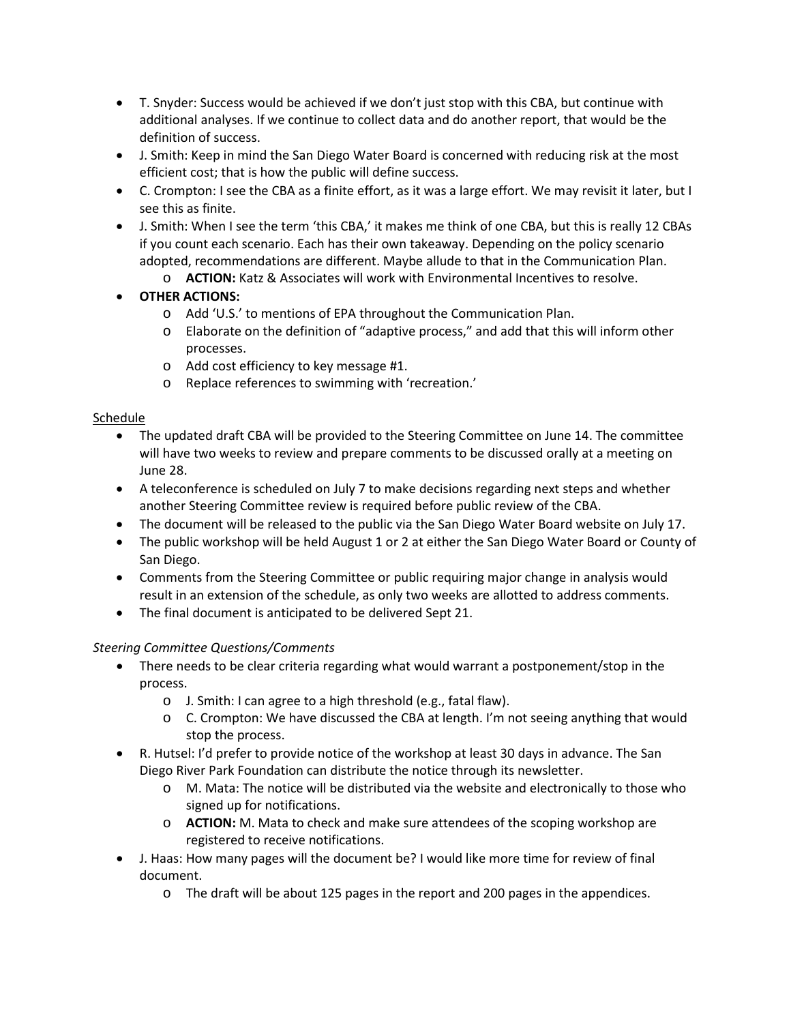- T. Snyder: Success would be achieved if we don't just stop with this CBA, but continue with additional analyses. If we continue to collect data and do another report, that would be the definition of success.
- J. Smith: Keep in mind the San Diego Water Board is concerned with reducing risk at the most efficient cost; that is how the public will define success.
- C. Crompton: I see the CBA as a finite effort, as it was a large effort. We may revisit it later, but I see this as finite.
- J. Smith: When I see the term 'this CBA,' it makes me think of one CBA, but this is really 12 CBAs if you count each scenario. Each has their own takeaway. Depending on the policy scenario adopted, recommendations are different. Maybe allude to that in the Communication Plan.
	- o **ACTION:** Katz & Associates will work with Environmental Incentives to resolve.
- **OTHER ACTIONS:**
	- o Add 'U.S.' to mentions of EPA throughout the Communication Plan.
	- o Elaborate on the definition of "adaptive process," and add that this will inform other processes.
	- o Add cost efficiency to key message #1.
	- o Replace references to swimming with 'recreation.'

# Schedule

- The updated draft CBA will be provided to the Steering Committee on June 14. The committee will have two weeks to review and prepare comments to be discussed orally at a meeting on June 28.
- A teleconference is scheduled on July 7 to make decisions regarding next steps and whether another Steering Committee review is required before public review of the CBA.
- The document will be released to the public via the San Diego Water Board website on July 17.
- The public workshop will be held August 1 or 2 at either the San Diego Water Board or County of San Diego.
- Comments from the Steering Committee or public requiring major change in analysis would result in an extension of the schedule, as only two weeks are allotted to address comments.
- The final document is anticipated to be delivered Sept 21.

# *Steering Committee Questions/Comments*

- There needs to be clear criteria regarding what would warrant a postponement/stop in the process.
	- o J. Smith: I can agree to a high threshold (e.g., fatal flaw).
	- o C. Crompton: We have discussed the CBA at length. I'm not seeing anything that would stop the process.
- R. Hutsel: I'd prefer to provide notice of the workshop at least 30 days in advance. The San Diego River Park Foundation can distribute the notice through its newsletter.
	- o M. Mata: The notice will be distributed via the website and electronically to those who signed up for notifications.
	- o **ACTION:** M. Mata to check and make sure attendees of the scoping workshop are registered to receive notifications.
- J. Haas: How many pages will the document be? I would like more time for review of final document.
	- o The draft will be about 125 pages in the report and 200 pages in the appendices.